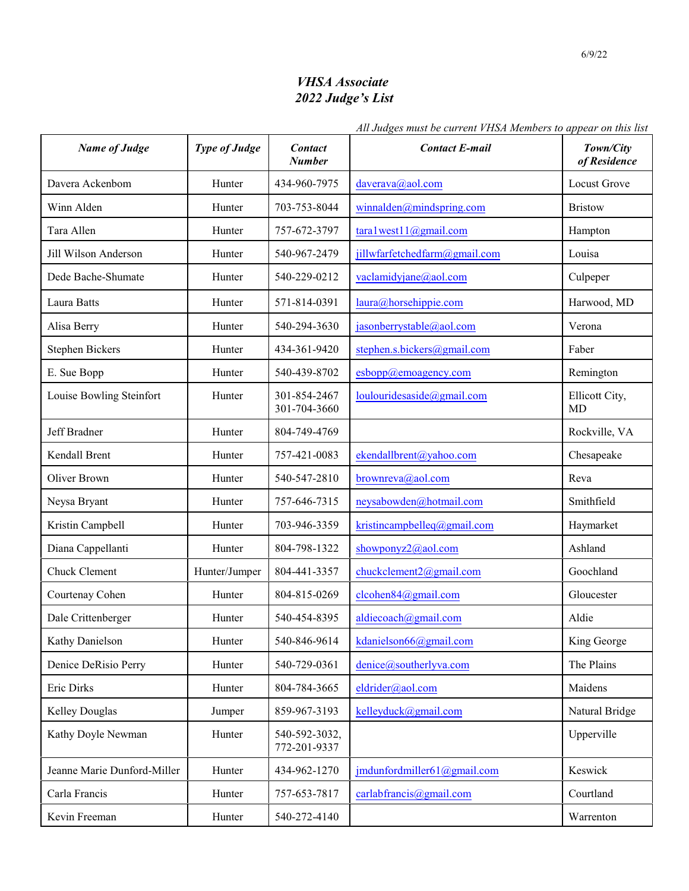## *VHSA Associate 2022 Judge's List*

## *All Judges must be current VHSA Members to appear on this list*

| <b>Name of Judge</b>        | <b>Type of Judge</b> | <b>Contact</b><br><b>Number</b> | <b>Contact E-mail</b>         | Town/City<br>of Residence   |
|-----------------------------|----------------------|---------------------------------|-------------------------------|-----------------------------|
| Davera Ackenbom             | Hunter               | 434-960-7975                    | daverava@aol.com              | <b>Locust Grove</b>         |
| Winn Alden                  | Hunter               | 703-753-8044                    | winnalden@mindspring.com      | <b>Bristow</b>              |
| Tara Allen                  | Hunter               | 757-672-3797                    | tara1west11@gmail.com         | Hampton                     |
| Jill Wilson Anderson        | Hunter               | 540-967-2479                    | jillwfarfetchedfarm@gmail.com | Louisa                      |
| Dede Bache-Shumate          | Hunter               | 540-229-0212                    | vaclamidyjane@aol.com         | Culpeper                    |
| Laura Batts                 | Hunter               | 571-814-0391                    | laura@horsehippie.com         | Harwood, MD                 |
| Alisa Berry                 | Hunter               | 540-294-3630                    | jasonberrystable@aol.com      | Verona                      |
| <b>Stephen Bickers</b>      | Hunter               | 434-361-9420                    | stephen.s.bickers@gmail.com   | Faber                       |
| E. Sue Bopp                 | Hunter               | 540-439-8702                    | esbopp@emoagency.com          | Remington                   |
| Louise Bowling Steinfort    | Hunter               | 301-854-2467<br>301-704-3660    | loulouridesaside@gmail.com    | Ellicott City,<br><b>MD</b> |
| Jeff Bradner                | Hunter               | 804-749-4769                    |                               | Rockville, VA               |
| Kendall Brent               | Hunter               | 757-421-0083                    | ekendallbrent@yahoo.com       | Chesapeake                  |
| Oliver Brown                | Hunter               | 540-547-2810                    | brownreva@aol.com             | Reva                        |
| Neysa Bryant                | Hunter               | 757-646-7315                    | neysabowden@hotmail.com       | Smithfield                  |
| Kristin Campbell            | Hunter               | 703-946-3359                    | kristincampbelleq@gmail.com   | Haymarket                   |
| Diana Cappellanti           | Hunter               | 804-798-1322                    | showponyz2@aol.com            | Ashland                     |
| Chuck Clement               | Hunter/Jumper        | 804-441-3357                    | chuckclement2@gmail.com       | Goochland                   |
| Courtenay Cohen             | Hunter               | 804-815-0269                    | cleohen84@gmail.com           | Gloucester                  |
| Dale Crittenberger          | Hunter               | 540-454-8395                    | aldiecoach@gmail.com          | Aldie                       |
| Kathy Danielson             | Hunter               | 540-846-9614                    | kdanielson66@gmail.com        | King George                 |
| Denice DeRisio Perry        | Hunter               | 540-729-0361                    | denice@southerlyva.com        | The Plains                  |
| Eric Dirks                  | Hunter               | 804-784-3665                    | eldrider@aol.com              | Maidens                     |
| Kelley Douglas              | Jumper               | 859-967-3193                    | kelleyduck@gmail.com          | Natural Bridge              |
| Kathy Doyle Newman          | Hunter               | 540-592-3032,<br>772-201-9337   |                               | Upperville                  |
| Jeanne Marie Dunford-Miller | Hunter               | 434-962-1270                    | jmdunfordmiller61@gmail.com   | Keswick                     |
| Carla Francis               | Hunter               | 757-653-7817                    | carlabfrancis@gmail.com       | Courtland                   |
| Kevin Freeman               | Hunter               | 540-272-4140                    |                               | Warrenton                   |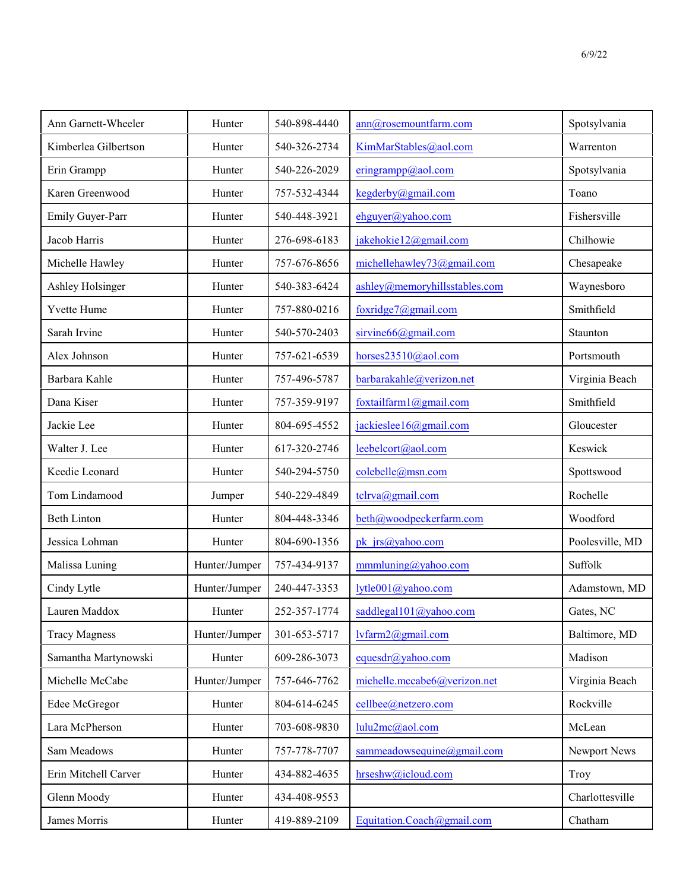| Ann Garnett-Wheeler  | Hunter        | 540-898-4440 | ann@rosemountfarm.com         | Spotsylvania    |
|----------------------|---------------|--------------|-------------------------------|-----------------|
| Kimberlea Gilbertson | Hunter        | 540-326-2734 | KimMarStables@aol.com         | Warrenton       |
| Erin Grampp          | Hunter        | 540-226-2029 | eringrampp@aol.com            | Spotsylvania    |
| Karen Greenwood      | Hunter        | 757-532-4344 | kegderby@gmail.com            | Toano           |
| Emily Guyer-Parr     | Hunter        | 540-448-3921 | ehguyer@yahoo.com             | Fishersville    |
| Jacob Harris         | Hunter        | 276-698-6183 | jakehokie12@gmail.com         | Chilhowie       |
| Michelle Hawley      | Hunter        | 757-676-8656 | michellehawley73@gmail.com    | Chesapeake      |
| Ashley Holsinger     | Hunter        | 540-383-6424 | ashley@memoryhillsstables.com | Waynesboro      |
| Yvette Hume          | Hunter        | 757-880-0216 | foxridge7@gmail.com           | Smithfield      |
| Sarah Irvine         | Hunter        | 540-570-2403 | sirvine66@gmail.com           | Staunton        |
| Alex Johnson         | Hunter        | 757-621-6539 | horses23510@aol.com           | Portsmouth      |
| Barbara Kahle        | Hunter        | 757-496-5787 | barbarakahle@verizon.net      | Virginia Beach  |
| Dana Kiser           | Hunter        | 757-359-9197 | foxtailfarm1@gmail.com        | Smithfield      |
| Jackie Lee           | Hunter        | 804-695-4552 | jackieslee16@gmail.com        | Gloucester      |
| Walter J. Lee        | Hunter        | 617-320-2746 | leebelcort@aol.com            | Keswick         |
| Keedie Leonard       | Hunter        | 540-294-5750 | colebelle@msn.com             | Spottswood      |
| Tom Lindamood        | Jumper        | 540-229-4849 | tclrva@gmail.com              | Rochelle        |
| <b>Beth Linton</b>   | Hunter        | 804-448-3346 | beth@woodpeckerfarm.com       | Woodford        |
| Jessica Lohman       | Hunter        | 804-690-1356 | pk jrs@yahoo.com              | Poolesville, MD |
| Malissa Luning       | Hunter/Jumper | 757-434-9137 | $mmn$ luning@yahoo.com        | Suffolk         |
| Cindy Lytle          | Hunter/Jumper | 240-447-3353 | lytle001@yahoo.com            | Adamstown, MD   |
| Lauren Maddox        | Hunter        | 252-357-1774 | saddlegal101@yahoo.com        | Gates, NC       |
| <b>Tracy Magness</b> | Hunter/Jumper | 301-653-5717 | lvfarm2@gmail.com             | Baltimore, MD   |
| Samantha Martynowski | Hunter        | 609-286-3073 | equesdr@yahoo.com             | Madison         |
| Michelle McCabe      | Hunter/Jumper | 757-646-7762 | michelle.mccabe6@verizon.net  | Virginia Beach  |
| Edee McGregor        | Hunter        | 804-614-6245 | cellbee@netzero.com           | Rockville       |
| Lara McPherson       | Hunter        | 703-608-9830 | lulu2mc@aol.com               | McLean          |
| Sam Meadows          | Hunter        | 757-778-7707 | sammeadowsequine@gmail.com    | Newport News    |
| Erin Mitchell Carver | Hunter        | 434-882-4635 | hrseshw@icloud.com            | Troy            |
| Glenn Moody          | Hunter        | 434-408-9553 |                               | Charlottesville |
| James Morris         | Hunter        | 419-889-2109 | Equitation.Coach@gmail.com    | Chatham         |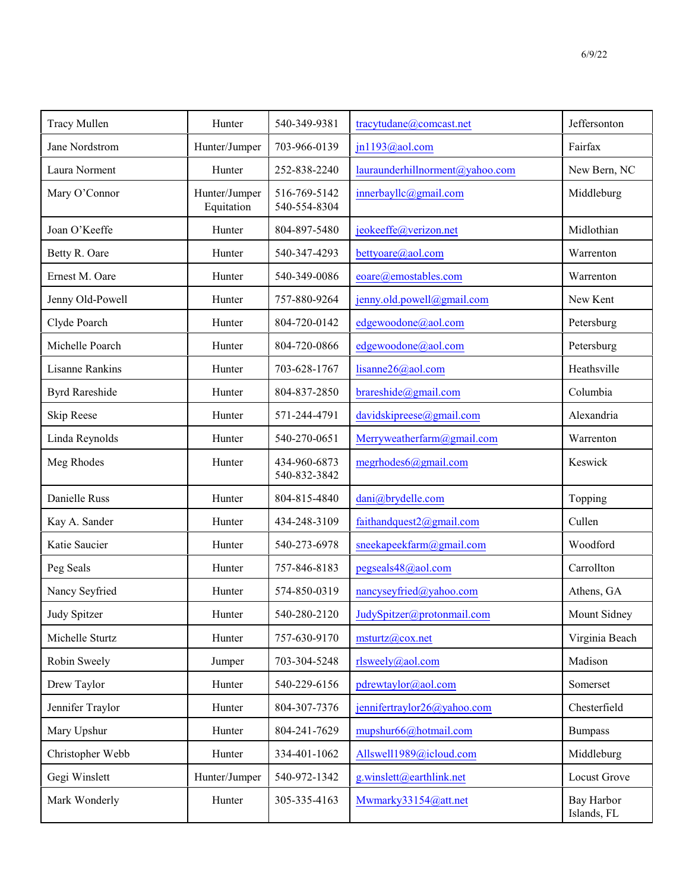| <b>Tracy Mullen</b>    | Hunter                      | 540-349-9381                 | tracytudane@comcast.net         | Jeffersonton              |
|------------------------|-----------------------------|------------------------------|---------------------------------|---------------------------|
| Jane Nordstrom         | Hunter/Jumper               | 703-966-0139                 | jn1193@aol.com                  | Fairfax                   |
| Laura Norment          | Hunter                      | 252-838-2240                 | lauraunderhillnorment@yahoo.com | New Bern, NC              |
| Mary O'Connor          | Hunter/Jumper<br>Equitation | 516-769-5142<br>540-554-8304 | innerbayllc@gmail.com           | Middleburg                |
| Joan O'Keeffe          | Hunter                      | 804-897-5480                 | jeokeeffe@verizon.net           | Midlothian                |
| Betty R. Oare          | Hunter                      | 540-347-4293                 | bettyoare@aol.com               | Warrenton                 |
| Ernest M. Oare         | Hunter                      | 540-349-0086                 | eoare@emostables.com            | Warrenton                 |
| Jenny Old-Powell       | Hunter                      | 757-880-9264                 | jenny.old.powell@gmail.com      | New Kent                  |
| Clyde Poarch           | Hunter                      | 804-720-0142                 | edgewoodone@aol.com             | Petersburg                |
| Michelle Poarch        | Hunter                      | 804-720-0866                 | edgewoodone@aol.com             | Petersburg                |
| <b>Lisanne Rankins</b> | Hunter                      | 703-628-1767                 | lisanne26@aol.com               | Heathsville               |
| <b>Byrd Rareshide</b>  | Hunter                      | 804-837-2850                 | brares hide @gmail.com          | Columbia                  |
| Skip Reese             | Hunter                      | 571-244-4791                 | davidskipreese@gmail.com        | Alexandria                |
| Linda Reynolds         | Hunter                      | 540-270-0651                 | Merryweatherfarm@gmail.com      | Warrenton                 |
| Meg Rhodes             | Hunter                      | 434-960-6873<br>540-832-3842 | megrhodes6@gmail.com            | Keswick                   |
| Danielle Russ          | Hunter                      | 804-815-4840                 | dani@brydelle.com               | Topping                   |
| Kay A. Sander          | Hunter                      | 434-248-3109                 | faithandquest2@gmail.com        | Cullen                    |
| Katie Saucier          | Hunter                      | 540-273-6978                 | sneekapeekfarm@gmail.com        | Woodford                  |
| Peg Seals              | Hunter                      | 757-846-8183                 | pegseals48@aol.com              | Carrollton                |
| Nancy Seyfried         | Hunter                      | 574-850-0319                 | nancyseyfried@yahoo.com         | Athens, GA                |
| Judy Spitzer           | Hunter                      | 540-280-2120                 | JudySpitzer@protonmail.com      | Mount Sidney              |
| Michelle Sturtz        | Hunter                      | 757-630-9170                 | $m$ sturtz@cox.net              | Virginia Beach            |
| Robin Sweely           | Jumper                      | 703-304-5248                 | rlsweely@aol.com                | Madison                   |
| Drew Taylor            | Hunter                      | 540-229-6156                 | pdrewtaylor@aol.com             | Somerset                  |
| Jennifer Traylor       | Hunter                      | 804-307-7376                 | jennifertraylor26@yahoo.com     | Chesterfield              |
| Mary Upshur            | Hunter                      | 804-241-7629                 | mupshur66@hotmail.com           | <b>Bumpass</b>            |
| Christopher Webb       | Hunter                      | 334-401-1062                 | Allswell1989@icloud.com         | Middleburg                |
| Gegi Winslett          | Hunter/Jumper               | 540-972-1342                 | g.winslett@earthlink.net        | Locust Grove              |
| Mark Wonderly          | Hunter                      | 305-335-4163                 | Mwmarky33154@att.net            | Bay Harbor<br>Islands, FL |